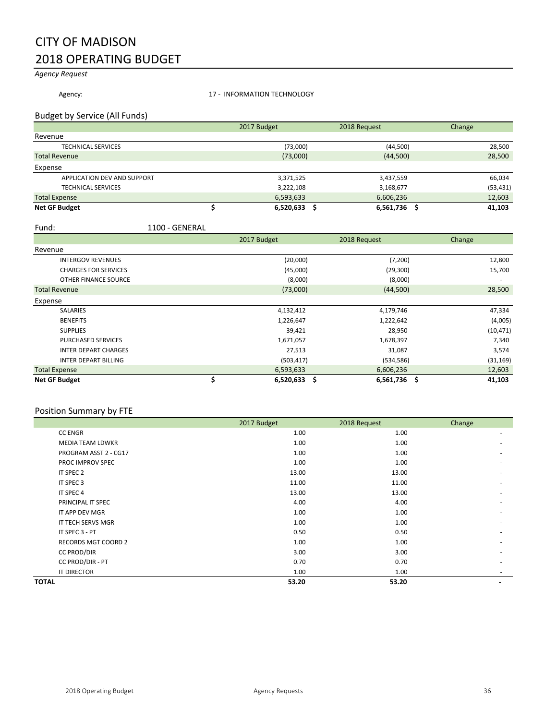## CITY OF MADISON 2018 OPERATING BUDGET

*Agency Request*

Agency: Material Material Material Material 17 - INFORMATION TECHNOLOGY

#### Budget by Service (All Funds)

|                             | 2017 Budget | 2018 Request | Change    |
|-----------------------------|-------------|--------------|-----------|
| Revenue                     |             |              |           |
| <b>TECHNICAL SERVICES</b>   | (73,000)    | (44,500)     | 28,500    |
| <b>Total Revenue</b>        | (73,000)    | (44,500)     | 28,500    |
| Expense                     |             |              |           |
| APPLICATION DEV AND SUPPORT | 3,371,525   | 3,437,559    | 66,034    |
| <b>TECHNICAL SERVICES</b>   | 3,222,108   | 3,168,677    | (53, 431) |
| <b>Total Expense</b>        | 6,593,633   | 6,606,236    | 12,603    |
| <b>Net GF Budget</b>        | 6,520,633   | 6,561,736    | 41,103    |

#### Fund: 1100 - GENERAL

|                             | 2017 Budget          | 2018 Request | Change    |
|-----------------------------|----------------------|--------------|-----------|
| Revenue                     |                      |              |           |
| <b>INTERGOV REVENUES</b>    | (20,000)             | (7, 200)     | 12,800    |
| <b>CHARGES FOR SERVICES</b> | (45,000)             | (29, 300)    | 15,700    |
| OTHER FINANCE SOURCE        | (8,000)              | (8,000)      |           |
| <b>Total Revenue</b>        | (73,000)             | (44,500)     | 28,500    |
| Expense                     |                      |              |           |
| <b>SALARIES</b>             | 4,132,412            | 4,179,746    | 47,334    |
| <b>BENEFITS</b>             | 1,226,647            | 1,222,642    | (4,005)   |
| <b>SUPPLIES</b>             | 39,421               | 28,950       | (10, 471) |
| <b>PURCHASED SERVICES</b>   | 1,671,057            | 1,678,397    | 7,340     |
| <b>INTER DEPART CHARGES</b> | 27,513               | 31,087       | 3,574     |
| <b>INTER DEPART BILLING</b> | (503, 417)           | (534, 586)   | (31, 169) |
| <b>Total Expense</b>        | 6,593,633            | 6,606,236    | 12,603    |
| <b>Net GF Budget</b>        | \$<br>$6,520,633$ \$ | 6,561,736 \$ | 41,103    |

#### Position Summary by FTE

|                         | 2017 Budget | 2018 Request | Change |
|-------------------------|-------------|--------------|--------|
| <b>CC ENGR</b>          | 1.00        | 1.00         |        |
| <b>MEDIA TEAM LDWKR</b> | 1.00        | 1.00         |        |
| PROGRAM ASST 2 - CG17   | 1.00        | 1.00         |        |
| PROC IMPROV SPEC        | 1.00        | 1.00         |        |
| IT SPEC 2               | 13.00       | 13.00        |        |
| IT SPEC 3               | 11.00       | 11.00        |        |
| IT SPEC 4               | 13.00       | 13.00        |        |
| PRINCIPAL IT SPEC       | 4.00        | 4.00         |        |
| IT APP DEV MGR          | 1.00        | 1.00         |        |
| IT TECH SERVS MGR       | 1.00        | 1.00         |        |
| IT SPEC 3 - PT          | 0.50        | 0.50         |        |
| RECORDS MGT COORD 2     | 1.00        | 1.00         |        |
| <b>CC PROD/DIR</b>      | 3.00        | 3.00         |        |
| CC PROD/DIR - PT        | 0.70        | 0.70         |        |
| IT DIRECTOR             | 1.00        | 1.00         |        |
| <b>TOTAL</b>            | 53.20       | 53.20        |        |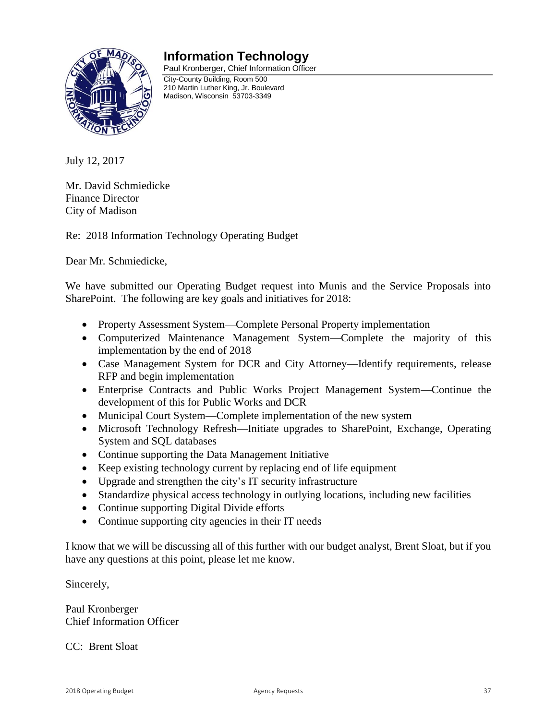### **Information Technology**



Paul Kronberger, Chief Information Officer City-County Building, Room 500 210 Martin Luther King, Jr. Boulevard Madison, Wisconsin 53703-3349

July 12, 2017

Mr. David Schmiedicke Finance Director City of Madison

Re: 2018 Information Technology Operating Budget

Dear Mr. Schmiedicke,

We have submitted our Operating Budget request into Munis and the Service Proposals into SharePoint. The following are key goals and initiatives for 2018:

- Property Assessment System—Complete Personal Property implementation
- Computerized Maintenance Management System—Complete the majority of this implementation by the end of 2018
- Case Management System for DCR and City Attorney—Identify requirements, release RFP and begin implementation
- Enterprise Contracts and Public Works Project Management System—Continue the development of this for Public Works and DCR
- Municipal Court System—Complete implementation of the new system
- Microsoft Technology Refresh—Initiate upgrades to SharePoint, Exchange, Operating System and SQL databases
- Continue supporting the Data Management Initiative
- Keep existing technology current by replacing end of life equipment
- Upgrade and strengthen the city's IT security infrastructure
- Standardize physical access technology in outlying locations, including new facilities
- Continue supporting Digital Divide efforts
- Continue supporting city agencies in their IT needs

I know that we will be discussing all of this further with our budget analyst, Brent Sloat, but if you have any questions at this point, please let me know.

Sincerely,

Paul Kronberger Chief Information Officer

CC: Brent Sloat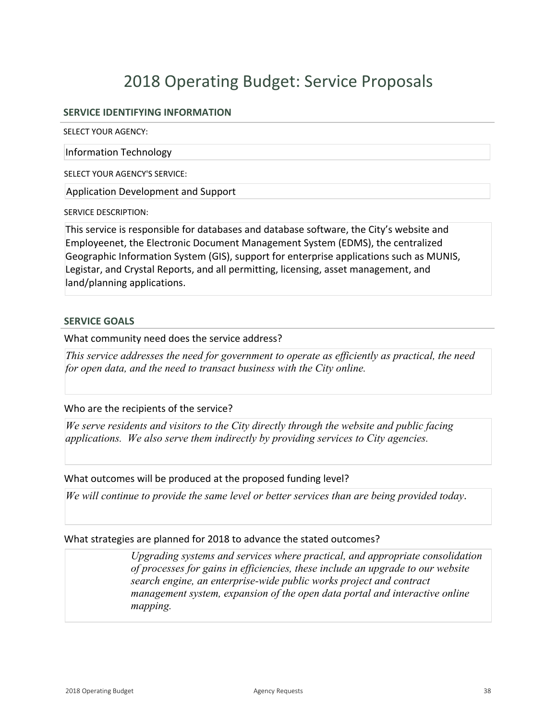# 2018 Operating Budget: Service Proposals

### **SERVICE IDENTIFYING INFORMATION**

SELECT YOUR AGENCY:

Information Technology

SELECT YOUR AGENCY'S SERVICE:

Application Development and Support

SERVICE DESCRIPTION:

This service is responsible for databases and database software, the City's website and Employeenet, the Electronic Document Management System (EDMS), the centralized Geographic Information System (GIS), support for enterprise applications such as MUNIS, Legistar, and Crystal Reports, and all permitting, licensing, asset management, and land/planning applications.

#### **SERVICE GOALS**

What community need does the service address?

*This service addresses the need for government to operate as efficiently as practical, the need for open data, and the need to transact business with the City online.*

Who are the recipients of the service?

*We serve residents and visitors to the City directly through the website and public facing applications. We also serve them indirectly by providing services to City agencies.*

#### What outcomes will be produced at the proposed funding level?

*We will continue to provide the same level or better services than are being provided today*.

#### What strategies are planned for 2018 to advance the stated outcomes?

*Upgrading systems and services where practical, and appropriate consolidation of processes for gains in efficiencies, these include an upgrade to our website search engine, an enterprise-wide public works project and contract management system, expansion of the open data portal and interactive online mapping.*